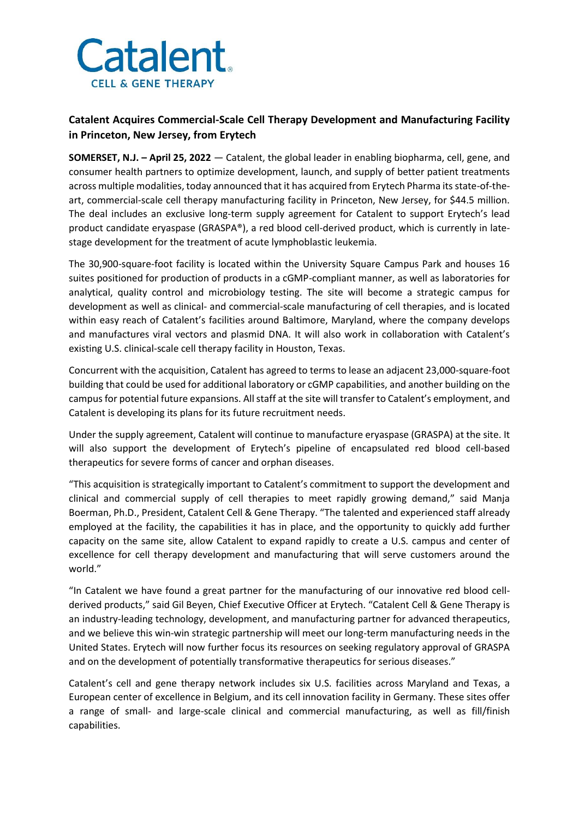

## **Catalent Acquires Commercial-Scale Cell Therapy Development and Manufacturing Facility in Princeton, New Jersey, from Erytech**

**SOMERSET, N.J. – April 25, 2022** — Catalent, the global leader in enabling biopharma, cell, gene, and consumer health partners to optimize development, launch, and supply of better patient treatments across multiple modalities, today announced that it has acquired from Erytech Pharma its state-of-theart, commercial-scale cell therapy manufacturing facility in Princeton, New Jersey, for \$44.5 million. The deal includes an exclusive long-term supply agreement for Catalent to support Erytech's lead product candidate eryaspase (GRASPA®), a red blood cell-derived product, which is currently in latestage development for the treatment of acute lymphoblastic leukemia.

The 30,900-square-foot facility is located within the University Square Campus Park and houses 16 suites positioned for production of products in a cGMP-compliant manner, as well as laboratories for analytical, quality control and microbiology testing. The site will become a strategic campus for development as well as clinical- and commercial-scale manufacturing of cell therapies, and is located within easy reach of Catalent's facilities around Baltimore, Maryland, where the company develops and manufactures viral vectors and plasmid DNA. It will also work in collaboration with Catalent's existing U.S. clinical-scale cell therapy facility in Houston, Texas.

Concurrent with the acquisition, Catalent has agreed to terms to lease an adjacent 23,000-square-foot building that could be used for additional laboratory or cGMP capabilities, and another building on the campus for potential future expansions. All staff at the site will transfer to Catalent's employment, and Catalent is developing its plans for its future recruitment needs.

Under the supply agreement, Catalent will continue to manufacture eryaspase (GRASPA) at the site. It will also support the development of Erytech's pipeline of encapsulated red blood cell-based therapeutics for severe forms of cancer and orphan diseases.

"This acquisition is strategically important to Catalent's commitment to support the development and clinical and commercial supply of cell therapies to meet rapidly growing demand," said Manja Boerman, Ph.D., President, Catalent Cell & Gene Therapy. "The talented and experienced staff already employed at the facility, the capabilities it has in place, and the opportunity to quickly add further capacity on the same site, allow Catalent to expand rapidly to create a U.S. campus and center of excellence for cell therapy development and manufacturing that will serve customers around the world."

"In Catalent we have found a great partner for the manufacturing of our innovative red blood cellderived products," said Gil Beyen, Chief Executive Officer at Erytech. "Catalent Cell & Gene Therapy is an industry-leading technology, development, and manufacturing partner for advanced therapeutics, and we believe this win-win strategic partnership will meet our long-term manufacturing needs in the United States. Erytech will now further focus its resources on seeking regulatory approval of GRASPA and on the development of potentially transformative therapeutics for serious diseases."

Catalent's cell and gene therapy network includes six U.S. facilities across Maryland and Texas, a European center of excellence in Belgium, and its cell innovation facility in Germany. These sites offer a range of small- and large-scale clinical and commercial manufacturing, as well as fill/finish capabilities.